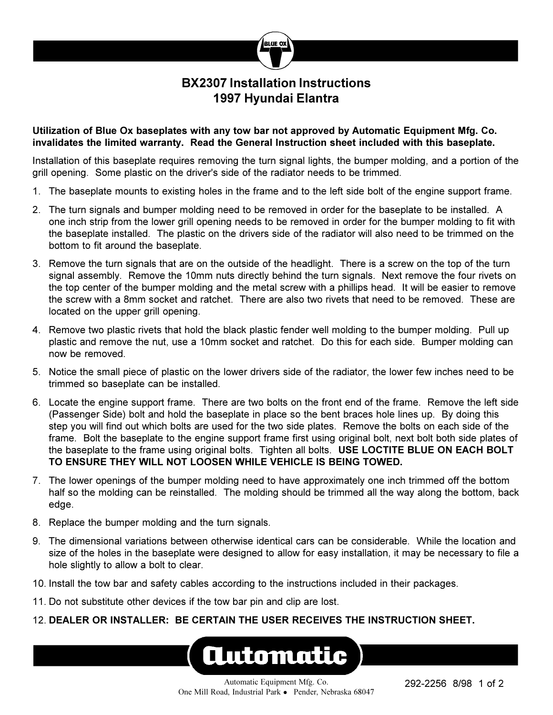## **BX2307 Installation Instructions 1997 Hyundai Elantra**

 $RI$ (IF  $\alpha$ 

## **Utilization of Blue Ox baseplates with any tow bar not approved by Automatic Equipment Mfg. Co. invalidates the limited warranty. Read the General Instruction sheet included with this baseplate.**

Installation of this baseplate requires removing the turn signal lights, the bumper molding, and a portion of the grill opening. Some plastic on the driver's side of the radiator needs to be trimmed.

- 1. The baseplate mounts to existing holes in the frame and to the left side bolt of the engine support frame.
- 2. The turn signals and bumper molding need to be removed in order for the baseplate to be installed. A one inch strip from the lower grill opening needs to be removed in order for the bumper molding to fit with the baseplate installed. The plastic on the drivers side of the radiator will also need to be trimmed on the bottom to fit around the baseplate.
- 3. Remove the turn signals that are on the outside of the headlight. There is a screw on the top of the turn signal assembly. Remove the 10mm nuts directly behind the turn signals. Next remove the four rivets on the top center of the bumper molding and the metal screw with a phillips head. It will be easier to remove the screw with a 8mm socket and ratchet. There are also two rivets that need to be removed. These are located on the upper grill opening.
- 4. Remove two plastic rivets that hold the black plastic fender well molding to the bumper molding. Pull up plastic and remove the nut, use a 10mm socket and ratchet. Do this for each side. Bumper molding can now be removed.
- 5. Notice the small piece of plastic on the lower drivers side of the radiator, the lower few inches need to be trimmed so baseplate can be installed.
- 6. Locate the engine support frame. There are two bolts on the front end of the frame. Remove the left side (Passenger Side) bolt and hold the baseplate in place so the bent braces hole lines up. By doing this step you will find out which bolts are used for the two side plates. Remove the bolts on each side of the frame. Bolt the baseplate to the engine support frame first using original bolt, next bolt both side plates of the baseplate to the frame using original bolts. Tighten all bolts. **USE LOCTITE BLUE ON EACH BOLT TO ENSURE THEY WILL NOT LOOSEN WHILE VEHICLE IS BEING TOWED.**
- 7. The lower openings of the bumper molding need to have approximately one inch trimmed off the bottom half so the molding can be reinstalled. The molding should be trimmed all the way along the bottom, back edge.
- 8. Replace the bumper molding and the turn signals.
- 9. The dimensional variations between otherwise identical cars can be considerable. While the location and size of the holes in the baseplate were designed to allow for easy installation, it may be necessary to file a hole slightly to allow a bolt to clear.
- 10. Install the tow bar and safety cables according to the instructions included in their packages.
- 11. Do not substitute other devices if the tow bar pin and clip are lost.
- 12. **DEALER OR INSTALLER: BE CERTAIN THE USER RECEIVES THE INSTRUCTION SHEET.**